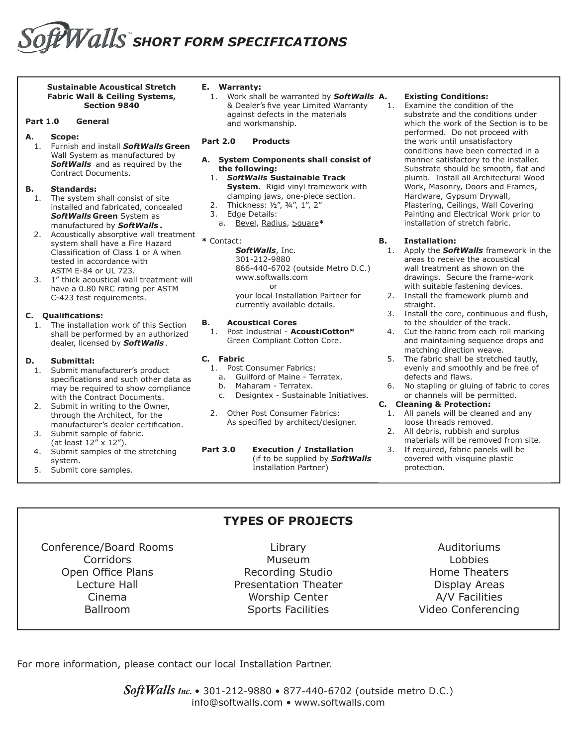# $\partial \mathcal{W}$ alls" short form specifications

**Sustainable Acoustical Stretch Fabric Wall & Ceiling Systems, Section 9840**

#### **Part 1.0 General**

#### **A. Scope:**

1. Furnish and install *SoftWalls* **Green** Wall System as manufactured by *SoftWalls* and as required by the Contract Documents.

#### **B. Standards:**

- 1. The system shall consist of site installed and fabricated, concealed *SoftWalls* **Green** System as manufactured by *SoftWalls* **.**
- 2. Acoustically absorptive wall treatment system shall have a Fire Hazard Classification of Class 1 or A when tested in accordance with ASTM E-84 or UL 723.
- 3. 1" thick acoustical wall treatment will have a 0.80 NRC rating per ASTM C-423 test requirements.

#### **C. Qualifi cations:**

1. The installation work of this Section shall be performed by an authorized dealer, licensed by *SoftWalls .*

#### **D. Submittal:**

- 1. Submit manufacturer's product specifications and such other data as may be required to show compliance with the Contract Documents.
- 2. Submit in writing to the Owner, through the Architect, for the manufacturer's dealer certification.
- 3. Submit sample of fabric.
- (at least  $12'' \times 12''$ ).<br>4. Submit samples of t Submit samples of the stretching system.
- 5. Submit core samples.

#### **E. Warranty:**

1. Work shall be warranted by *SoftWalls*  & Dealer's five year Limited Warranty against defects in the materials and workmanship.

#### **Part 2.0 Products**

- **A. System Components shall consist of the following:**
	- 1.*SoftWalls* **Sustainable Track System.** Rigid vinyl framework with clamping jaws, one-piece section.
	- 2. Thickness: 1⁄2", 3⁄4", 1", 2"
	- 3. Edge Details:
		- a. Bevel, Radius, Square**\***
- **\*** Contact:

*SoftWalls*, Inc. 301-212-9880 866-440-6702 (outside Metro D.C.) www.softwalls.com or your local Installation Partner for currently available details.

#### **B. Acoustical Cores**

1. Post Industrial - **AcoustiCotton®** Green Compliant Cotton Core.

#### **C. Fabric**

- 1. Post Consumer Fabrics:
- a. Guilford of Maine Terratex.
- b. Maharam Terratex.
- c. Designtex Sustainable Initiatives.
- 2. Other Post Consumer Fabrics: As specified by architect/designer.
- **Part 3.0 Execution / Installation** (if to be supplied by *SoftWalls* Installation Partner)

#### **Existing Conditions:**

1. Examine the condition of the substrate and the conditions under which the work of the Section is to be performed. Do not proceed with the work until unsatisfactory conditions have been corrected in a manner satisfactory to the installer. Substrate should be smooth, flat and plumb. Install all Architectural Wood Work, Masonry, Doors and Frames, Hardware, Gypsum Drywall, Plastering, Ceilings, Wall Covering Painting and Electrical Work prior to installation of stretch fabric.

#### **B. Installation:**

- 1. Apply the *SoftWalls* framework in the areas to receive the acoustical wall treatment as shown on the drawings. Secure the frame-work with suitable fastening devices.
- 2. Install the framework plumb and straight.
- 3. Install the core, continuous and flush, to the shoulder of the track.
- 4. Cut the fabric from each roll marking and maintaining sequence drops and matching direction weave.
- 5. The fabric shall be stretched tautly, evenly and smoothly and be free of defects and flaws.
- 6. No stapling or gluing of fabric to cores or channels will be permitted.

#### **C. Cleaning & Protection:**

- 1. All panels will be cleaned and any loose threads removed.
- 2. All debris, rubbish and surplus materials will be removed from site.<br>3. If required, fabric panels will be
- If required, fabric panels will be covered with visquine plastic protection.

# **TYPES OF PROJECTS**

Conference/Board Rooms **Corridors** Open Office Plans Lecture Hall Cinema Ballroom

Library Museum Recording Studio Presentation Theater Worship Center Sports Facilities

Auditoriums Lobbies Home Theaters Display Areas A/V Facilities Video Conferencing

For more information, please contact our local Installation Partner.